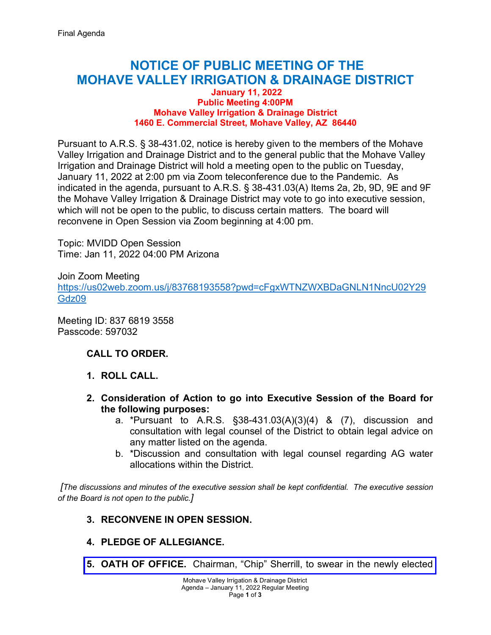# **NOTICE OF PUBLIC MEETING OF THE MOHAVE VALLEY IRRIGATION & DRAINAGE DISTRICT**

#### **January 11, 2022 Public Meeting 4:00PM Mohave Valley Irrigation & Drainage District 1460 E. Commercial Street, Mohave Valley, AZ 86440**

Pursuant to A.R.S. § 38-431.02, notice is hereby given to the members of the Mohave Valley Irrigation and Drainage District and to the general public that the Mohave Valley Irrigation and Drainage District will hold a meeting open to the public on Tuesday, January 11, 2022 at 2:00 pm via Zoom teleconference due to the Pandemic. As indicated in the agenda, pursuant to A.R.S. § 38-431.03(A) Items 2a, 2b, 9D, 9E and 9F the Mohave Valley Irrigation & Drainage District may vote to go into executive session, which will not be open to the public, to discuss certain matters. The board will reconvene in Open Session via Zoom beginning at 4:00 pm.

Topic: MVIDD Open Session Time: Jan 11, 2022 04:00 PM Arizona

Join Zoom Meeting [https://us02web.zoom.us/j/83768193558?pwd=cFgxWTNZWXBDaGNLN1NncU02Y29](https://us02web.zoom.us/j/83768193558?pwd=cFgxWTNZWXBDaGNLN1NncU02Y29Gdz09) [Gdz09](https://us02web.zoom.us/j/83768193558?pwd=cFgxWTNZWXBDaGNLN1NncU02Y29Gdz09) 

Meeting ID: 837 6819 3558 Passcode: 597032

## **CALL TO ORDER.**

- **1. ROLL CALL.**
- **2. Consideration of Action to go into Executive Session of the Board for the following purposes:**
	- a. \*Pursuant to A.R.S. §38-431.03(A)(3)(4) & (7), discussion and consultation with legal counsel of the District to obtain legal advice on any matter listed on the agenda.
	- b. \*Discussion and consultation with legal counsel regarding AG water allocations within the District.

 *[The discussions and minutes of the executive session shall be kept confidential. The executive session of the Board is not open to the public.]*

### **3. RECONVENE IN OPEN SESSION.**

- **4. PLEDGE OF ALLEGIANCE.**
- **5. OATH OF OFFICE.** Chairman, "Chip" [Sherrill, to swear in the newly elected](https://mvidd.net/wp-content/uploads/2022/01/2022-01-11-Regular-Board-Action-Form-Item-5-Oath-of-Office.pdf)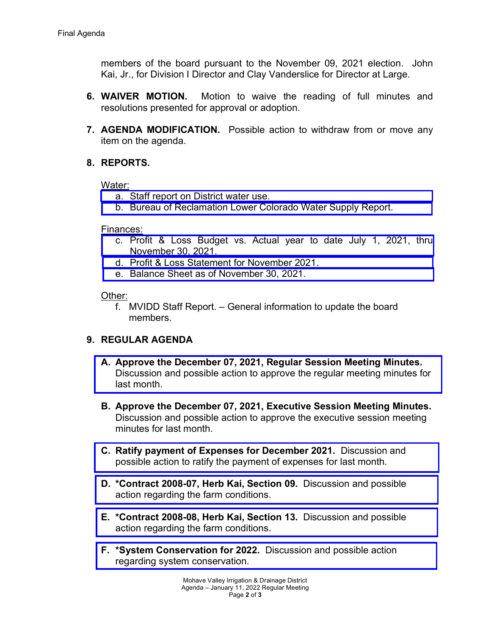members of the board pursuant to the November 09, 2021 election. John Kai, Jr., for Division I Director and Clay Vanderslice for Director at Large.

- **6. WAIVER MOTION.** Motion to waive the reading of full minutes and resolutions presented for approval or adoption.
- **7. AGENDA MODIFICATION.** Possible action to withdraw from or move any item on the agenda.

## **8. REPORTS.**

#### Water:

- a. [Staff report on District water use.](https://mvidd.net/wp-content/uploads/2022/01/2022-01-11-Regular-Board-Action-Form-Item-8a-Reports-Water-District-Use.pdf)
- b. [Bureau of Reclamation Lower Colorado Water Supply Report.](https://mvidd.net/wp-content/uploads/2022/01/2022-01-11-Regular-Board-Action-Form-Item-8b-Reports-Water-BOR.pdf)

#### Finances:

- c. [Profit & Loss Budget vs. Actual year to date July 1, 2021, thru](https://mvidd.net/wp-content/uploads/2022/01/2022-01-11-Regular-Board-Action-Form-Item-8c-Reports-Financial-profit-loss-vs-actual.pdf)  November 30, 2021.
- d. [Profit & Loss Statement for November](https://mvidd.net/wp-content/uploads/2022/01/2022-01-11-Regular-Board-Action-Form-Item-8d-Reports-Financial-profit-loss-statement.pdf) 2021.
- e. [Balance Sheet as of November 30, 2021.](https://mvidd.net/wp-content/uploads/2022/01/2022-01-11-Regular-Board-Action-Form-Item-8e-Reports-Financial-Balance-Sheet.pdf)

### Other:

f. MVIDD Staff Report. – General information to update the board members.

## **9. REGULAR AGENDA**

- **A. Approve the December 07, 2021, Regular Session Meeting Minutes.**  [Discussion and possible action to approve the regular meeting minutes](https://mvidd.net/wp-content/uploads/2022/01/2022-01-11-Regular-Board-Action-Form-Item-9A-Approve-December-07-2021-Regular-Meeting-Minutes.pdf) for last month.
- **B. Approve the December 07, 2021, Executive Session Meeting Minutes.** Discussion and possible action to approve the executive session meeting minutes for last month.
- **C. Ratify payment of Expenses for December 2021.** Discussion and [possible action to ratify the payment of expenses](https://mvidd.net/wp-content/uploads/2022/01/2022-01-11-Regular-Board-Action-Form-Item-9C-Ratify-Expenses-for-December-2021.pdf) for last month.
- **D. [\\*Contract 2008-07, Herb Kai, Section 09.](https://mvidd.net/wp-content/uploads/2022/01/2022-01-11-Regular-Board-Action-Form-Item-9D-Herb-Kai-Contract-2008-07-Section-09.pdf)** Discussion and possible action regarding the farm conditions.
- **E. [\\*Contract 2008-08, Herb Kai, Section 13.](https://mvidd.net/wp-content/uploads/2022/01/2022-01-11-Regular-Board-Action-Form-Item-9E-Herb-Kai-Contract-2008-08-Section-13.pdf)** Discussion and possible action regarding the farm conditions.
- **F. [\\*System Conservation for 2022.](https://mvidd.net/wp-content/uploads/2022/01/MVIDD-2022-EC-ICS-SCIA-Plan-Narrative-Draft-01-10-2022.pdf)** Discussion and possible action regarding system conservation.